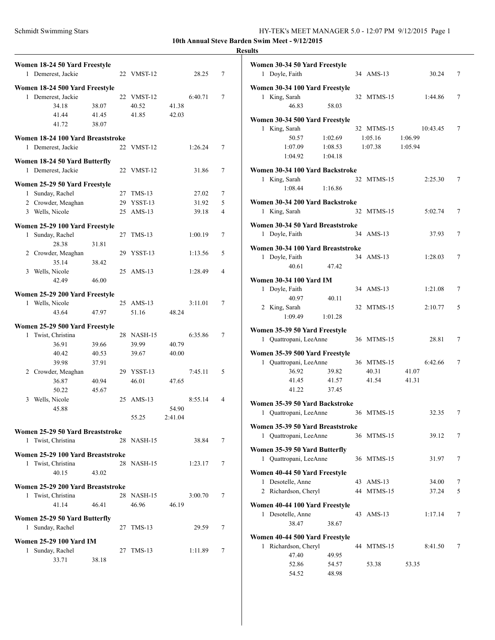**10th Annual Steve Barden Swim Meet - 9/12/2015**

### **Results**

| Women 18-24 50 Yard Freestyle     |       |    |            |         |         |   |
|-----------------------------------|-------|----|------------|---------|---------|---|
| 1 Demerest, Jackie                |       |    | 22 VMST-12 |         | 28.25   | 7 |
| Women 18-24 500 Yard Freestyle    |       |    |            |         |         |   |
| 1 Demerest, Jackie                |       |    | 22 VMST-12 |         | 6:40.71 | 7 |
| 34.18                             | 38.07 |    | 40.52      | 41.38   |         |   |
| 41.44                             | 41.45 |    | 41.85      | 42.03   |         |   |
| 41.72                             | 38.07 |    |            |         |         |   |
| Women 18-24 100 Yard Breaststroke |       |    |            |         |         |   |
| 1 Demerest, Jackie                |       |    | 22 VMST-12 |         | 1:26.24 | 7 |
|                                   |       |    |            |         |         |   |
| Women 18-24 50 Yard Butterfly     |       |    |            |         |         |   |
| 1 Demerest, Jackie                |       |    | 22 VMST-12 |         | 31.86   | 7 |
| Women 25-29 50 Yard Freestyle     |       |    |            |         |         |   |
| 1 Sunday, Rachel                  |       |    | 27 TMS-13  |         | 27.02   | 7 |
| 2 Crowder, Meaghan                |       |    | 29 YSST-13 |         | 31.92   | 5 |
| 3 Wells, Nicole                   |       |    | 25 AMS-13  |         | 39.18   | 4 |
| Women 25-29 100 Yard Freestyle    |       |    |            |         |         |   |
| 1 Sunday, Rachel                  |       | 27 | $TMS-13$   |         | 1:00.19 | 7 |
| 28.38                             | 31.81 |    |            |         |         |   |
| 2 Crowder, Meaghan                |       |    | 29 YSST-13 |         | 1:13.56 | 5 |
| 35.14                             | 38.42 |    |            |         |         |   |
| 3 Wells, Nicole                   |       |    | 25 AMS-13  |         | 1:28.49 | 4 |
| 42.49                             | 46.00 |    |            |         |         |   |
|                                   |       |    |            |         |         |   |
| Women 25-29 200 Yard Freestyle    |       |    |            |         |         |   |
| 1 Wells, Nicole                   |       |    | 25 AMS-13  |         | 3:11.01 | 7 |
| 43.64                             | 47.97 |    | 51.16      | 48.24   |         |   |
| Women 25-29 500 Yard Freestyle    |       |    |            |         |         |   |
| 1 Twist, Christina                |       |    | 28 NASH-15 |         | 6:35.86 | 7 |
| 36.91                             | 39.66 |    | 39.99      | 40.79   |         |   |
| 40.42                             | 40.53 |    | 39.67      | 40.00   |         |   |
| 39.98                             | 37.91 |    |            |         |         |   |
| 2 Crowder, Meaghan                |       |    | 29 YSST-13 |         | 7:45.11 | 5 |
| 36.87                             | 40.94 |    | 46.01      | 47.65   |         |   |
| 50.22                             | 45.67 |    |            |         |         |   |
| 3 Wells, Nicole                   |       |    | 25 AMS-13  |         | 8:55.14 | 4 |
| 45.88                             |       |    |            | 54.90   |         |   |
|                                   |       |    | 55.25      | 2:41.04 |         |   |
| Women 25-29 50 Yard Breaststroke  |       |    |            |         |         |   |
| 1 Twist, Christina                |       |    | 28 NASH-15 |         | 38.84   | 7 |
| Women 25-29 100 Yard Breaststroke |       |    |            |         |         |   |
| 1 Twist, Christina                |       |    | 28 NASH-15 |         | 1:23.17 | 7 |
| 40.15                             | 43.02 |    |            |         |         |   |
|                                   |       |    |            |         |         |   |
| Women 25-29 200 Yard Breaststroke |       |    |            |         |         |   |
| 1 Twist, Christina                |       |    | 28 NASH-15 |         | 3:00.70 | 7 |
| 41.14                             | 46.41 |    | 46.96      | 46.19   |         |   |
| Women 25-29 50 Yard Butterfly     |       |    |            |         |         |   |
| Sunday, Rachel<br>$\mathbf{1}$    |       |    | 27 TMS-13  |         | 29.59   | 7 |
| <b>Women 25-29 100 Yard IM</b>    |       |    |            |         |         |   |
| 1 Sunday, Rachel                  |       |    | 27 TMS-13  |         | 1:11.89 | 7 |
| 33.71                             | 38.18 |    |            |         |         |   |
|                                   |       |    |            |         |         |   |

|   | Women 30-34 50 Yard Freestyle<br>1 Doyle, Faith |         |    | 34 AMS-13  | 30.24    | 7 |
|---|-------------------------------------------------|---------|----|------------|----------|---|
|   |                                                 |         |    |            |          |   |
|   | Women 30-34 100 Yard Freestyle                  |         |    |            |          |   |
|   | 1 King, Sarah<br>46.83                          |         |    | 32 MTMS-15 | 1:44.86  | 7 |
|   |                                                 | 58.03   |    |            |          |   |
|   | Women 30-34 500 Yard Freestyle                  |         |    |            |          |   |
|   | 1 King, Sarah                                   |         |    | 32 MTMS-15 | 10:43.45 | 7 |
|   | 50.57                                           | 1:02.69 |    | 1:05.16    | 1:06.99  |   |
|   | 1:07.09                                         | 1:08.53 |    | 1:07.38    | 1:05.94  |   |
|   | 1:04.92                                         | 1:04.18 |    |            |          |   |
|   | Women 30-34 100 Yard Backstroke                 |         |    |            |          |   |
|   | 1 King, Sarah                                   |         |    | 32 MTMS-15 | 2:25.30  | 7 |
|   | 1:08.44                                         | 1:16.86 |    |            |          |   |
|   |                                                 |         |    |            |          |   |
|   | Women 30-34 200 Yard Backstroke                 |         |    |            |          |   |
|   | 1 King, Sarah                                   |         |    | 32 MTMS-15 | 5:02.74  | 7 |
|   | Women 30-34 50 Yard Breaststroke                |         |    |            |          |   |
|   | 1 Doyle, Faith                                  |         |    | 34 AMS-13  | 37.93    | 7 |
|   |                                                 |         |    |            |          |   |
|   | Women 30-34 100 Yard Breaststroke               |         |    |            |          |   |
|   | 1 Doyle, Faith                                  |         |    | 34 AMS-13  | 1:28.03  | 7 |
|   | 40.61                                           | 47.42   |    |            |          |   |
|   | <b>Women 30-34 100 Yard IM</b>                  |         |    |            |          |   |
|   | 1 Doyle, Faith                                  |         |    | 34 AMS-13  | 1:21.08  | 7 |
|   | 40.97                                           | 40.11   |    |            |          |   |
|   | 2 King, Sarah                                   |         |    | 32 MTMS-15 | 2:10.77  | 5 |
|   | 1:09.49                                         | 1:01.28 |    |            |          |   |
|   |                                                 |         |    |            |          |   |
|   | Women 35-39 50 Yard Freestyle                   |         |    |            |          |   |
|   | 1 Quattropani, LeeAnne                          |         |    | 36 MTMS-15 | 28.81    | 7 |
|   | Women 35-39 500 Yard Freestyle                  |         |    |            |          |   |
|   | 1 Quattropani, LeeAnne                          |         |    | 36 MTMS-15 | 6:42.66  | 7 |
|   | 36.92                                           | 39.82   |    | 40.31      | 41.07    |   |
|   | 41.45                                           | 41.57   |    | 41.54      | 41.31    |   |
|   | 41.22                                           | 37.45   |    |            |          |   |
|   | Women 35-39 50 Yard Backstroke                  |         |    |            |          |   |
|   | 1 Quattropani, LeeAnne                          |         |    | 36 MTMS-15 | 32.35    | 7 |
|   |                                                 |         |    |            |          |   |
|   | Women 35-39 50 Yard Breaststroke                |         |    |            |          |   |
| 1 | Quattropani, LeeAnne                            |         |    | 36 MTMS-15 | 39.12    | 7 |
|   | Women 35-39 50 Yard Butterfly                   |         |    |            |          |   |
|   | 1 Quattropani, LeeAnne                          |         |    | 36 MTMS-15 | 31.97    | 7 |
|   |                                                 |         |    |            |          |   |
|   | Women 40-44 50 Yard Freestyle                   |         |    |            |          |   |
|   | 1 Desotelle, Anne                               |         |    | 43 AMS-13  | 34.00    | 7 |
|   | 2 Richardson, Cheryl                            |         |    | 44 MTMS-15 | 37.24    | 5 |
|   | Women 40-44 100 Yard Freestyle                  |         |    |            |          |   |
|   | 1 Desotelle, Anne                               |         | 43 | AMS-13     | 1:17.14  | 7 |
|   | 38.47                                           | 38.67   |    |            |          |   |
|   |                                                 |         |    |            |          |   |
|   | Women 40-44 500 Yard Freestyle                  |         |    |            |          |   |
|   | 1 Richardson, Cheryl                            |         |    | 44 MTMS-15 | 8:41.50  | 7 |
|   | 47.40                                           | 49.95   |    |            |          |   |
|   | 52.86                                           | 54.57   |    | 53.38      | 53.35    |   |
|   | 54.52                                           | 48.98   |    |            |          |   |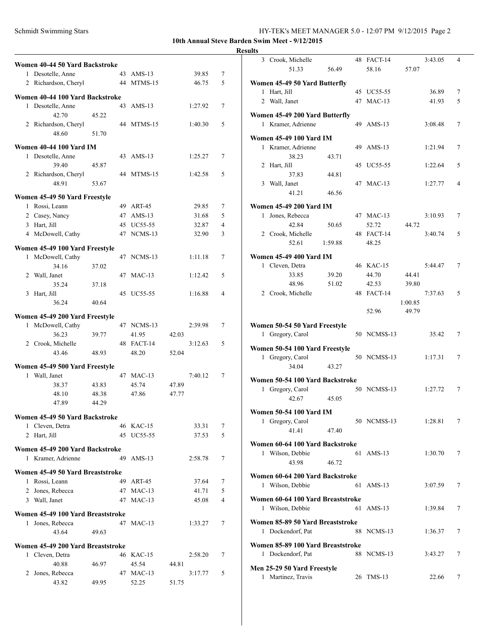**10th Annual Steve Barden Swim Meet - 9/12/2015**

| Women 40-44 50 Yard Backstroke    |       |    |                |       |         |   |
|-----------------------------------|-------|----|----------------|-------|---------|---|
| 1 Desotelle, Anne                 |       |    | 43 AMS-13      |       | 39.85   | 7 |
| 2 Richardson, Cheryl              |       | 44 | MTMS-15        |       | 46.75   | 5 |
|                                   |       |    |                |       |         |   |
| Women 40-44 100 Yard Backstroke   |       |    |                |       |         |   |
| 1 Desotelle, Anne                 |       |    | 43 AMS-13      |       | 1:27.92 | 7 |
| 42.70                             | 45.22 |    |                |       |         |   |
| 2 Richardson, Cheryl              |       |    | 44 MTMS-15     |       | 1:40.30 | 5 |
| 48.60                             | 51.70 |    |                |       |         |   |
| <b>Women 40-44 100 Yard IM</b>    |       |    |                |       |         |   |
| 1 Desotelle, Anne                 |       |    | 43 AMS-13      |       | 1:25.27 | 7 |
| 39.40                             | 45.87 |    |                |       |         |   |
| 2 Richardson, Cheryl              |       |    | 44 MTMS-15     |       | 1:42.58 | 5 |
| 48.91                             | 53.67 |    |                |       |         |   |
|                                   |       |    |                |       |         |   |
| Women 45-49 50 Yard Freestyle     |       |    |                |       |         |   |
| 1 Rossi, Leann                    |       |    | 49 ART-45      |       | 29.85   | 7 |
| 2 Casey, Nancy                    |       |    | 47 AMS-13      |       | 31.68   | 5 |
| 3 Hart, Jill                      |       |    | 45 UC55-55     |       | 32.87   | 4 |
| 4 McDowell, Cathy                 |       |    | 47 NCMS-13     |       | 32.90   | 3 |
|                                   |       |    |                |       |         |   |
| Women 45-49 100 Yard Freestyle    |       |    |                |       |         |   |
| 1 McDowell, Cathy                 |       |    | 47 NCMS-13     |       | 1:11.18 | 7 |
| 34.16                             | 37.02 |    |                |       |         |   |
| 2 Wall, Janet                     |       |    | 47 MAC-13      |       | 1:12.42 | 5 |
| 35.24                             | 37.18 |    |                |       |         |   |
| 3 Hart, Jill                      |       |    | 45 UC55-55     |       | 1:16.88 | 4 |
| 36.24                             | 40.64 |    |                |       |         |   |
| Women 45-49 200 Yard Freestyle    |       |    |                |       |         |   |
| 1 McDowell, Cathy                 |       |    | 47 NCMS-13     |       | 2:39.98 | 7 |
| 36.23                             | 39.77 |    | 41.95          | 42.03 |         |   |
| 2 Crook, Michelle                 |       |    | 48 FACT-14     |       | 3:12.63 | 5 |
| 43.46                             | 48.93 |    | 48.20          | 52.04 |         |   |
|                                   |       |    |                |       |         |   |
| Women 45-49 500 Yard Freestyle    |       |    |                |       |         |   |
| 1 Wall, Janet                     |       |    | 47 MAC-13      |       | 7:40.12 | 7 |
| 38.37                             | 43.83 |    | 45.74          | 47.89 |         |   |
| 48.10                             | 48.38 |    | 47.86          | 47.77 |         |   |
| 47.89                             | 44.29 |    |                |       |         |   |
| Women 45-49 50 Yard Backstroke    |       |    |                |       |         |   |
| 1 Cleven, Detra                   |       |    | 46 KAC-15      |       | 33.31   | 7 |
| 2 Hart, Jill                      |       | 45 | <b>UC55-55</b> |       | 37.53   | 5 |
|                                   |       |    |                |       |         |   |
| Women 45-49 200 Yard Backstroke   |       |    |                |       |         |   |
| 1 Kramer, Adrienne                |       | 49 | $AMS-13$       |       | 2:58.78 | 7 |
| Women 45-49 50 Yard Breaststroke  |       |    |                |       |         |   |
| 1 Rossi, Leann                    |       | 49 | ART-45         |       | 37.64   | 7 |
| 2 Jones, Rebecca                  |       |    | 47 MAC-13      |       | 41.71   | 5 |
| 3 Wall, Janet                     |       | 47 | $MAC-13$       |       | 45.08   | 4 |
|                                   |       |    |                |       |         |   |
| Women 45-49 100 Yard Breaststroke |       |    |                |       |         |   |
| 1 Jones, Rebecca                  |       |    | 47 MAC-13      |       | 1:33.27 | 7 |
| 43.64                             | 49.63 |    |                |       |         |   |
| Women 45-49 200 Yard Breaststroke |       |    |                |       |         |   |
| 1 Cleven, Detra                   |       |    | 46 KAC-15      |       | 2:58.20 | 7 |
| 40.88                             | 46.97 |    | 45.54          | 44.81 |         |   |
| 2 Jones, Rebecca                  |       |    | 47 MAC-13      |       | 3:17.77 | 5 |
| 43.82                             | 49.95 |    | 52.25          | 51.75 |         |   |
|                                   |       |    |                |       |         |   |

| <b>Results</b>                                       |         |              |         |         |   |
|------------------------------------------------------|---------|--------------|---------|---------|---|
| 3 Crook, Michelle                                    |         | 48 FACT-14   |         | 3:43.05 | 4 |
| 51.33                                                | 56.49   | 58.16        | 57.07   |         |   |
| Women 45-49 50 Yard Butterfly                        |         |              |         |         |   |
| 1 Hart, Jill                                         |         | 45 UC55-55   |         | 36.89   | 7 |
| 2 Wall, Janet                                        |         | 47 MAC-13    |         | 41.93   | 5 |
| Women 45-49 200 Yard Butterfly                       |         |              |         |         |   |
| 1 Kramer, Adrienne                                   |         | 49 AMS-13    |         | 3:08.48 | 7 |
|                                                      |         |              |         |         |   |
| <b>Women 45-49 100 Yard IM</b><br>1 Kramer, Adrienne |         |              |         |         |   |
| 38.23                                                | 43.71   | 49 AMS-13    |         | 1:21.94 | 7 |
| 2 Hart, Jill                                         |         | 45 UC55-55   |         | 1:22.64 | 5 |
| 37.83                                                | 44.81   |              |         |         |   |
| 3 Wall, Janet                                        |         | 47 MAC-13    |         | 1:27.77 | 4 |
| 41.21                                                | 46.56   |              |         |         |   |
| <b>Women 45-49 200 Yard IM</b>                       |         |              |         |         |   |
| 1 Jones, Rebecca                                     |         | 47 MAC-13    |         | 3:10.93 | 7 |
| 42.84                                                | 50.65   | 52.72        | 44.72   |         |   |
| 2 Crook, Michelle                                    |         | 48 FACT-14   |         | 3:40.74 | 5 |
| 52.61                                                | 1:59.88 | 48.25        |         |         |   |
| <b>Women 45-49 400 Yard IM</b>                       |         |              |         |         |   |
| 1 Cleven, Detra                                      |         | 46 KAC-15    |         | 5:44.47 | 7 |
| 33.85                                                | 39.20   | 44.70        | 44.41   |         |   |
| 48.96                                                | 51.02   | 42.53        | 39.80   |         |   |
| 2 Crook, Michelle                                    |         | 48 FACT-14   |         | 7:37.63 | 5 |
|                                                      |         |              | 1:00.85 |         |   |
|                                                      |         | 52.96        | 49.79   |         |   |
| Women 50-54 50 Yard Freestyle                        |         |              |         |         |   |
| 1 Gregory, Carol                                     |         | 50 NCMS\$-13 |         | 35.42   | 7 |
|                                                      |         |              |         |         |   |
| Women 50-54 100 Yard Freestyle                       |         | 50 NCMS\$-13 |         |         | 7 |
| 1 Gregory, Carol<br>34.04                            | 43.27   |              |         | 1:17.31 |   |
|                                                      |         |              |         |         |   |
| Women 50-54 100 Yard Backstroke                      |         |              |         |         |   |
| 1 Gregory, Carol                                     |         | 50 NCMS\$-13 |         | 1:27.72 | 7 |
| 42.67                                                | 45.05   |              |         |         |   |
| <b>Women 50-54 100 Yard IM</b>                       |         |              |         |         |   |
| 1 Gregory, Carol                                     |         | 50 NCMS\$-13 |         | 1:28.81 | 7 |
| 41.41                                                | 47.40   |              |         |         |   |
| Women 60-64 100 Yard Backstroke                      |         |              |         |         |   |
| 1 Wilson, Debbie                                     |         | 61 AMS-13    |         | 1:30.70 | 7 |
| 43.98                                                | 46.72   |              |         |         |   |
| Women 60-64 200 Yard Backstroke                      |         |              |         |         |   |
| 1 Wilson, Debbie                                     |         | 61 AMS-13    |         | 3:07.59 | 7 |
| Women 60-64 100 Yard Breaststroke                    |         |              |         |         |   |
| 1 Wilson, Debbie                                     |         | 61 AMS-13    |         | 1:39.84 | 7 |
|                                                      |         |              |         |         |   |
| Women 85-89 50 Yard Breaststroke                     |         |              |         |         |   |
| 1 Dockendorf, Pat                                    |         | 88 NCMS-13   |         | 1:36.37 | 7 |
| Women 85-89 100 Yard Breaststroke                    |         |              |         |         |   |
| 1 Dockendorf, Pat                                    |         | 88 NCMS-13   |         | 3:43.27 | 7 |
| Men 25-29 50 Yard Freestyle                          |         |              |         |         |   |
| 1 Martinez, Travis                                   |         | 26 TMS-13    |         | 22.66   | 7 |
|                                                      |         |              |         |         |   |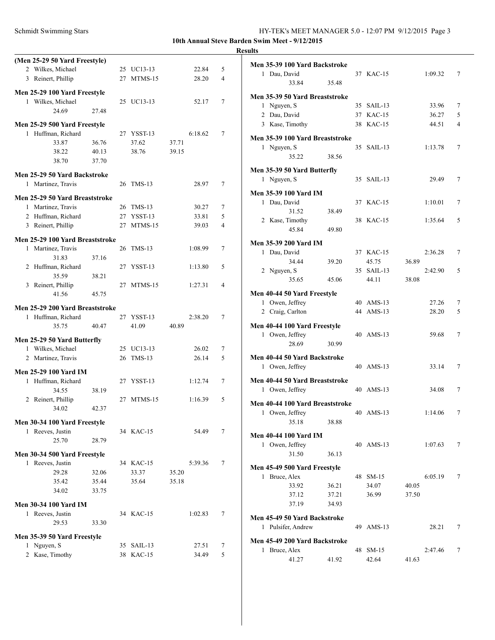| HY-TEK's MEET MANAGER 5.0 - 12:07 PM 9/12/2015 Page 3 |
|-------------------------------------------------------|
|                                                       |

**10th Annual Steve Barden Swim Meet - 9/12/2015**

# **Results**

| (Men 25-29 50 Yard Freestyle)                      |       |            |         |   |
|----------------------------------------------------|-------|------------|---------|---|
| 2 Wilkes, Michael                                  |       | 25 UC13-13 | 22.84   | 5 |
| 3 Reinert, Phillip                                 |       | 27 MTMS-15 | 28.20   | 4 |
| Men 25-29 100 Yard Freestyle                       |       |            |         |   |
| 1 Wilkes, Michael                                  |       | 25 UC13-13 | 52.17   | 7 |
| 24.69                                              | 27.48 |            |         |   |
|                                                    |       |            |         |   |
| Men 25-29 500 Yard Freestyle<br>1 Huffman, Richard |       | 27 YSST-13 | 6:18.62 | 7 |
| 33.87                                              | 36.76 | 37.62      | 37.71   |   |
| 38.22                                              | 40.13 | 38.76      | 39.15   |   |
| 38.70                                              | 37.70 |            |         |   |
|                                                    |       |            |         |   |
| Men 25-29 50 Yard Backstroke                       |       |            |         |   |
| 1 Martinez, Travis                                 |       | 26 TMS-13  | 28.97   | 7 |
| Men 25-29 50 Yard Breaststroke                     |       |            |         |   |
| 1 Martinez, Travis                                 |       | 26 TMS-13  | 30.27   | 7 |
| 2 Huffman, Richard                                 |       | 27 YSST-13 | 33.81   | 5 |
| 3 Reinert, Phillip                                 |       | 27 MTMS-15 | 39.03   | 4 |
| Men 25-29 100 Yard Breaststroke                    |       |            |         |   |
| 1 Martinez, Travis                                 |       | 26 TMS-13  | 1:08.99 | 7 |
| 31.83                                              | 37.16 |            |         |   |
| 2 Huffman, Richard                                 |       | 27 YSST-13 | 1:13.80 | 5 |
| 35.59                                              | 38.21 |            |         |   |
| 3 Reinert, Phillip                                 |       | 27 MTMS-15 | 1:27.31 | 4 |
| 41.56                                              | 45.75 |            |         |   |
|                                                    |       |            |         |   |
| Men 25-29 200 Yard Breaststroke                    |       |            |         |   |
| 1 Huffman, Richard                                 |       | 27 YSST-13 | 2:38.20 | 7 |
| 35.75                                              | 40.47 | 41.09      | 40.89   |   |
| Men 25-29 50 Yard Butterfly                        |       |            |         |   |
| 1 Wilkes, Michael                                  |       | 25 UC13-13 | 26.02   | 7 |
| 2 Martinez, Travis                                 |       | 26 TMS-13  | 26.14   | 5 |
| <b>Men 25-29 100 Yard IM</b>                       |       |            |         |   |
| 1 Huffman, Richard                                 |       | 27 YSST-13 | 1:12.74 | 7 |
| 34.55                                              | 38.19 |            |         |   |
| 2 Reinert, Phillip                                 |       | 27 MTMS-15 | 1:16.39 | 5 |
| 34.02                                              | 42.37 |            |         |   |
|                                                    |       |            |         |   |
| Men 30-34 100 Yard Freestyle                       |       |            |         |   |
| 1 Reeves, Justin                                   |       | 34 KAC-15  | 54.49   | 7 |
| 25.70                                              | 28.79 |            |         |   |
| Men 30-34 500 Yard Freestyle                       |       |            |         |   |
| 1 Reeves, Justin                                   |       | 34 KAC-15  | 5:39.36 | 7 |
| 29.28                                              | 32.06 | 33.37      | 35.20   |   |
| 35.42                                              | 35.44 | 35.64      | 35.18   |   |
| 34.02                                              | 33.75 |            |         |   |
| Men 30-34 100 Yard IM                              |       |            |         |   |
| 1 Reeves, Justin                                   |       | 34 KAC-15  | 1:02.83 | 7 |
| 29.53                                              | 33.30 |            |         |   |
|                                                    |       |            |         |   |
| Men 35-39 50 Yard Freestyle                        |       |            |         |   |
| 1 Nguyen, S                                        |       | 35 SAIL-13 | 27.51   | 7 |
| 2 Kase, Timothy                                    |       | 38 KAC-15  | 34.49   | 5 |
|                                                    |       |            |         |   |

| Men 35-39 100 Yard Backstroke   |       |            |       |         |                |
|---------------------------------|-------|------------|-------|---------|----------------|
| 1 Dau, David                    |       | 37 KAC-15  |       | 1:09.32 | 7              |
| 33.84                           | 35.48 |            |       |         |                |
| Men 35-39 50 Yard Breaststroke  |       |            |       |         |                |
| 1 Nguyen, S                     |       | 35 SAIL-13 |       | 33.96   | 7              |
| 2 Dau, David                    |       |            |       |         |                |
|                                 |       | 37 KAC-15  |       | 36.27   | 5              |
| 3 Kase, Timothy                 |       | 38 KAC-15  |       | 44.51   | $\overline{4}$ |
| Men 35-39 100 Yard Breaststroke |       |            |       |         |                |
| 1 Nguyen, S                     |       | 35 SAIL-13 |       | 1:13.78 | 7              |
| 35.22                           | 38.56 |            |       |         |                |
|                                 |       |            |       |         |                |
| Men 35-39 50 Yard Butterfly     |       |            |       |         |                |
| 1 Nguyen, S                     |       | 35 SAIL-13 |       | 29.49   | 7              |
| <b>Men 35-39 100 Yard IM</b>    |       |            |       |         |                |
| 1 Dau, David                    |       | 37 KAC-15  |       | 1:10.01 | 7              |
| 31.52                           | 38.49 |            |       |         |                |
| 2 Kase, Timothy                 |       | 38 KAC-15  |       | 1:35.64 | 5              |
| 45.84                           | 49.80 |            |       |         |                |
|                                 |       |            |       |         |                |
| <b>Men 35-39 200 Yard IM</b>    |       |            |       |         |                |
| 1 Dau, David                    |       | 37 KAC-15  |       | 2:36.28 | 7              |
| 34.44                           | 39.20 | 45.75      | 36.89 |         |                |
| 2 Nguyen, S                     |       | 35 SAIL-13 |       | 2:42.90 | 5              |
| 35.65                           | 45.06 | 44.11      | 38.08 |         |                |
|                                 |       |            |       |         |                |
| Men 40-44 50 Yard Freestyle     |       |            |       |         |                |
| 1 Owen, Jeffrey                 |       | 40 AMS-13  |       | 27.26   | 7              |
| 2 Craig, Carlton                |       | 44 AMS-13  |       | 28.20   | 5              |
| Men 40-44 100 Yard Freestyle    |       |            |       |         |                |
| 1 Owen, Jeffrey                 |       | 40 AMS-13  |       | 59.68   | 7              |
| 28.69                           | 30.99 |            |       |         |                |
|                                 |       |            |       |         |                |
| Men 40-44 50 Yard Backstroke    |       |            |       |         |                |
| 1 Owen, Jeffrey                 |       | 40 AMS-13  |       | 33.14   | 7              |
| Men 40-44 50 Yard Breaststroke  |       |            |       |         |                |
| 1 Owen, Jeffrey                 |       | 40 AMS-13  |       | 34.08   | 7              |
|                                 |       |            |       |         |                |
| Men 40-44 100 Yard Breaststroke |       |            |       |         |                |
| 1 Owen, Jeffrey                 |       | 40 AMS-13  |       | 1:14.06 | 7              |
| 35.18                           | 38.88 |            |       |         |                |
| Men 40-44 100 Yard IM           |       |            |       |         |                |
| 1 Owen, Jeffrey                 |       | 40 AMS-13  |       | 1:07.63 | 7              |
| 31.50                           | 36.13 |            |       |         |                |
|                                 |       |            |       |         |                |
| Men 45-49 500 Yard Freestyle    |       |            |       |         |                |
| 1 Bruce, Alex                   |       | 48 SM-15   |       | 6:05.19 | 7              |
| 33.92                           | 36.21 | 34.07      | 40.05 |         |                |
| 37.12                           | 37.21 | 36.99      | 37.50 |         |                |
| 37.19                           | 34.93 |            |       |         |                |
| Men 45-49 50 Yard Backstroke    |       |            |       |         |                |
| 1 Pulsifer, Andrew              |       | 49 AMS-13  |       | 28.21   | 7              |
|                                 |       |            |       |         |                |
| Men 45-49 200 Yard Backstroke   |       |            |       |         |                |
| 1 Bruce, Alex                   |       | 48 SM-15   |       | 2:47.46 | 7              |
| 41.27                           | 41.92 | 42.64      | 41.63 |         |                |
|                                 |       |            |       |         |                |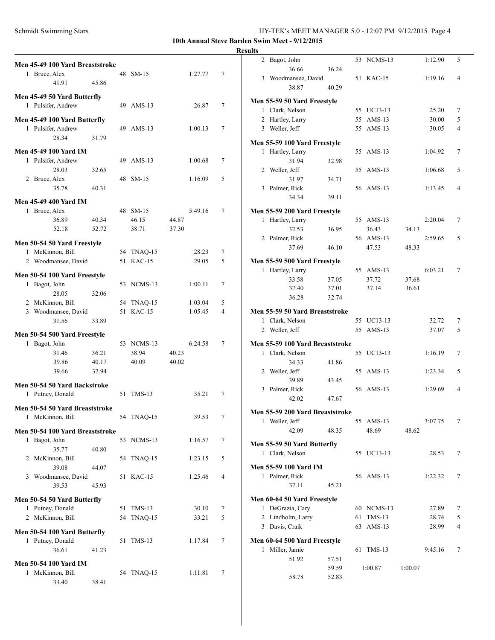**10th Annual Steve Barden Swim Meet - 9/12/2015**

| Men 45-49 100 Yard Breaststroke |       |            |       |         |   | 2              |
|---------------------------------|-------|------------|-------|---------|---|----------------|
| 1 Bruce, Alex                   |       | 48 SM-15   |       | 1:27.77 | 7 |                |
| 41.91                           | 45.86 |            |       |         |   | 3              |
|                                 |       |            |       |         |   |                |
| Men 45-49 50 Yard Butterfly     |       |            |       |         |   | Men            |
| 1 Pulsifer, Andrew              |       | 49 AMS-13  |       | 26.87   | 7 | -1             |
| Men 45-49 100 Yard Butterfly    |       |            |       |         |   | $\overline{2}$ |
| 1 Pulsifer, Andrew              |       | 49 AMS-13  |       | 1:00.13 | 7 | 3              |
| 28.34                           | 31.79 |            |       |         |   |                |
|                                 |       |            |       |         |   | Men            |
| <b>Men 45-49 100 Yard IM</b>    |       |            |       |         |   | 1              |
| 1 Pulsifer, Andrew              |       | 49 AMS-13  |       | 1:00.68 | 7 |                |
| 28.03                           | 32.65 |            |       |         |   | 2              |
| 2 Bruce, Alex                   |       | 48 SM-15   |       | 1:16.09 | 5 |                |
| 35.78                           | 40.31 |            |       |         |   | 3              |
| <b>Men 45-49 400 Yard IM</b>    |       |            |       |         |   |                |
| 1 Bruce, Alex                   |       | 48 SM-15   |       | 5:49.16 | 7 | Men            |
| 36.89                           | 40.34 | 46.15      | 44.87 |         |   | 1              |
| 52.18                           | 52.72 | 38.71      | 37.30 |         |   |                |
|                                 |       |            |       |         |   |                |
| Men 50-54 50 Yard Freestyle     |       |            |       |         |   | 2              |
| 1 McKinnon, Bill                |       | 54 TNAQ-15 |       | 28.23   | 7 |                |
| 2 Woodmansee, David             |       | 51 KAC-15  |       | 29.05   | 5 | Men            |
|                                 |       |            |       |         |   | 1              |
| Men 50-54 100 Yard Freestyle    |       |            |       |         |   |                |
| 1 Bagot, John                   |       | 53 NCMS-13 |       | 1:00.11 | 7 |                |
| 28.05                           | 32.06 |            |       |         |   |                |
| 2 McKinnon, Bill                |       | 54 TNAQ-15 |       | 1:03.04 | 5 |                |
| 3 Woodmansee, David             |       | 51 KAC-15  |       | 1:05.45 | 4 | Men            |
|                                 |       |            |       |         |   | 1              |
| 31.56                           | 33.89 |            |       |         |   |                |
|                                 |       |            |       |         |   |                |
| Men 50-54 500 Yard Freestyle    |       |            |       |         |   |                |
| 1 Bagot, John                   |       | 53 NCMS-13 |       | 6:24.58 | 7 |                |
| 31.46                           | 36.21 | 38.94      | 40.23 |         |   | 2<br>Men<br>1  |
| 39.86                           | 40.17 | 40.09      | 40.02 |         |   |                |
| 39.66                           | 37.94 |            |       |         |   |                |
| Men 50-54 50 Yard Backstroke    |       |            |       |         |   | 2              |
| 1 Putney, Donald                |       | 51 TMS-13  |       | 35.21   | 7 |                |
|                                 |       |            |       |         |   | 3              |
| Men 50-54 50 Yard Breaststroke  |       |            |       |         |   | Men            |
| 1 McKinnon, Bill                |       | 54 TNAQ-15 |       | 39.53   | 7 | 1              |
| Men 50-54 100 Yard Breaststroke |       |            |       |         |   |                |
| 1 Bagot, John                   |       | 53 NCMS-13 |       | 1:16.57 | 7 |                |
| 35.77                           | 40.80 |            |       |         |   | Men            |
| 2 McKinnon, Bill                |       | 54 TNAQ-15 |       | 1:23.15 | 5 |                |
| 39.08                           | 44.07 |            |       |         |   | 1<br>Men       |
| 3 Woodmansee, David             |       | 51 KAC-15  |       | 1:25.46 | 4 | 1              |
| 39.53                           | 45.93 |            |       |         |   |                |
|                                 |       |            |       |         |   |                |
| Men 50-54 50 Yard Butterfly     |       |            |       |         |   | Men            |
| 1 Putney, Donald                |       | 51 TMS-13  |       | 30.10   | 7 | 1              |
| 2 McKinnon, Bill                |       | 54 TNAQ-15 |       | 33.21   | 5 | $\overline{2}$ |
| Men 50-54 100 Yard Butterfly    |       |            |       |         |   | 3              |
| 1 Putney, Donald                |       | 51 TMS-13  |       | 1:17.84 | 7 | Men            |
| 36.61                           | 41.23 |            |       |         |   | 1              |
|                                 |       |            |       |         |   |                |
| <b>Men 50-54 100 Yard IM</b>    |       |            |       |         |   |                |
| 1 McKinnon, Bill<br>33.40       | 38.41 | 54 TNAQ-15 |       | 1:11.81 | 7 |                |

| <b>Results</b> |                                 |       |            |         |         |   |
|----------------|---------------------------------|-------|------------|---------|---------|---|
|                | 2 Bagot, John                   |       | 53 NCMS-13 |         | 1:12.90 | 5 |
|                | 36.66                           | 36.24 |            |         |         |   |
|                | 3 Woodmansee, David             |       | 51 KAC-15  |         | 1:19.16 | 4 |
|                | 38.87                           | 40.29 |            |         |         |   |
|                | Men 55-59 50 Yard Freestyle     |       |            |         |         |   |
|                | 1 Clark, Nelson                 |       | 55 UC13-13 |         | 25.20   | 7 |
|                | 2 Hartley, Larry                |       | 55 AMS-13  |         | 30.00   | 5 |
|                | 3 Weller, Jeff                  |       | 55 AMS-13  |         | 30.05   | 4 |
|                | Men 55-59 100 Yard Freestyle    |       |            |         |         |   |
|                | 1 Hartley, Larry                |       | 55 AMS-13  |         | 1:04.92 | 7 |
|                | 31.94                           | 32.98 |            |         |         |   |
|                | 2 Weller, Jeff                  |       | 55 AMS-13  |         | 1:06.68 | 5 |
|                | 31.97                           | 34.71 |            |         |         |   |
|                | 3 Palmer, Rick                  |       | 56 AMS-13  |         | 1:13.45 | 4 |
|                | 34.34                           | 39.11 |            |         |         |   |
|                |                                 |       |            |         |         |   |
|                | Men 55-59 200 Yard Freestyle    |       |            |         |         |   |
|                | 1 Hartley, Larry                |       | 55 AMS-13  |         | 2:20.04 | 7 |
|                | 32.53                           | 36.95 | 36.43      | 34.13   |         |   |
|                | 2 Palmer, Rick                  |       | 56 AMS-13  |         | 2:59.65 | 5 |
|                | 37.69                           | 46.10 | 47.53      | 48.33   |         |   |
|                | Men 55-59 500 Yard Freestyle    |       |            |         |         |   |
|                | 1 Hartley, Larry                |       | 55 AMS-13  |         | 6:03.21 | 7 |
|                | 33.58                           | 37.05 | 37.72      | 37.68   |         |   |
|                | 37.40                           | 37.01 | 37.14      | 36.61   |         |   |
|                | 36.28                           | 32.74 |            |         |         |   |
|                |                                 |       |            |         |         |   |
|                | Men 55-59 50 Yard Breaststroke  |       |            |         |         |   |
|                | 1 Clark, Nelson                 |       | 55 UC13-13 |         | 32.72   | 7 |
|                | 2 Weller, Jeff                  |       | 55 AMS-13  |         | 37.07   | 5 |
|                | Men 55-59 100 Yard Breaststroke |       |            |         |         |   |
|                | 1 Clark, Nelson                 |       | 55 UC13-13 |         | 1:16.19 | 7 |
|                | 34.33                           | 41.86 |            |         |         |   |
|                | 2 Weller, Jeff                  |       | 55 AMS-13  |         | 1:23.34 | 5 |
|                | 39.89                           | 43.45 |            |         |         |   |
|                | 3 Palmer, Rick                  |       | 56 AMS-13  |         | 1:29.69 | 4 |
|                | 42.02                           | 47.67 |            |         |         |   |
|                |                                 |       |            |         |         |   |
|                | Men 55-59 200 Yard Breaststroke |       |            |         |         |   |
|                | 1 Weller, Jeff                  |       | 55 AMS-13  |         | 3:07.75 | 7 |
|                | 42.09                           | 48.35 | 48.69      | 48.62   |         |   |
|                | Men 55-59 50 Yard Butterfly     |       |            |         |         |   |
|                | 1 Clark, Nelson                 |       | 55 UC13-13 |         | 28.53   | 7 |
|                | <b>Men 55-59 100 Yard IM</b>    |       |            |         |         |   |
|                | 1 Palmer, Rick                  |       | 56 AMS-13  |         | 1:22.32 | 7 |
|                | 37.11                           | 45.21 |            |         |         |   |
|                |                                 |       |            |         |         |   |
|                | Men 60-64 50 Yard Freestyle     |       |            |         |         |   |
|                | 1 DeGrazia, Cary                |       | 60 NCMS-13 |         | 27.89   | 7 |
|                | 2 Lindholm, Larry               |       | 61 TMS-13  |         | 28.74   | 5 |
|                | 3 Davis, Craik                  |       | 63 AMS-13  |         | 28.99   | 4 |
|                | Men 60-64 500 Yard Freestyle    |       |            |         |         |   |
|                | 1 Miller, Jamie                 |       | 61 TMS-13  |         | 9:45.16 | 7 |
|                | 51.92                           | 57.51 |            |         |         |   |
|                |                                 | 59.59 | 1:00.87    | 1:00.07 |         |   |
|                | 58.78                           | 52.83 |            |         |         |   |
|                |                                 |       |            |         |         |   |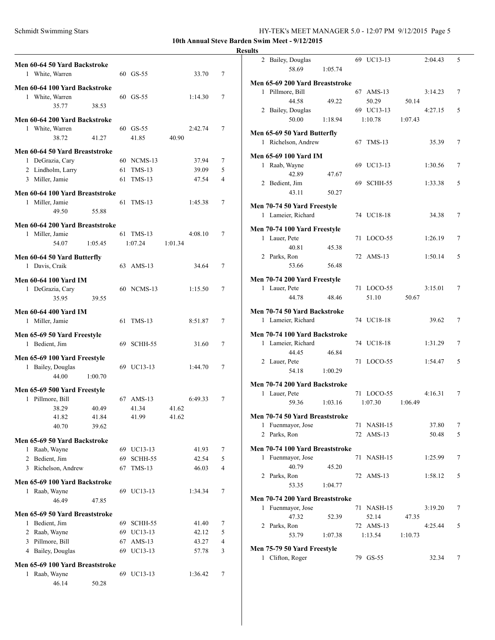**10th Annual Steve Barden Swim Meet - 9/12/2015**

### **Results**

| Men 60-64 50 Yard Backstroke<br>1 White, Warren            |                |    | 60 GS-55   | 33.70   | 7              |
|------------------------------------------------------------|----------------|----|------------|---------|----------------|
| Men 60-64 100 Yard Backstroke<br>1 White, Warren<br>35.77  | 38.53          |    | 60 GS-55   | 1:14.30 | 7              |
| Men 60-64 200 Yard Backstroke                              |                |    |            |         |                |
| 1 White, Warren                                            |                |    | 60 GS-55   | 2:42.74 | 7              |
| 38.72                                                      | 41.27          |    | 41.85      | 40.90   |                |
| Men 60-64 50 Yard Breaststroke<br>1 DeGrazia, Cary         |                |    | 60 NCMS-13 | 37.94   | 7              |
| 2 Lindholm, Larry                                          |                |    | 61 TMS-13  | 39.09   | 5              |
| 3 Miller, Jamie                                            |                | 61 | $TMS-13$   | 47.54   | 4              |
| Men 60-64 100 Yard Breaststroke                            |                |    |            |         |                |
| 1 Miller, Jamie                                            |                |    | 61 TMS-13  | 1:45.38 | 7              |
| 49.50                                                      | 55.88          |    |            |         |                |
| Men 60-64 200 Yard Breaststroke                            |                |    |            |         |                |
| 1 Miller, Jamie                                            |                |    | 61 TMS-13  | 4:08.10 | 7              |
| 54.07                                                      | 1:05.45        |    | 1:07.24    | 1:01.34 |                |
| Men 60-64 50 Yard Butterfly<br>1 Davis, Craik              |                |    | 63 AMS-13  | 34.64   | 7              |
| <b>Men 60-64 100 Yard IM</b><br>1 DeGrazia, Cary<br>35.95  | 39.55          |    | 60 NCMS-13 | 1:15.50 | 7              |
| Men 60-64 400 Yard IM<br>1 Miller, Jamie                   |                |    | 61 TMS-13  | 8:51.87 | 7              |
| Men 65-69 50 Yard Freestyle<br>1 Bedient, Jim              |                |    | 69 SCHH-55 | 31.60   | 7              |
| Men 65-69 100 Yard Freestyle<br>1 Bailey, Douglas<br>44.00 | 1:00.70        |    | 69 UC13-13 | 1:44.70 | 7              |
| Men 65-69 500 Yard Freestyle                               |                |    |            |         |                |
| 1 Pillmore, Bill                                           |                |    | 67 AMS-13  | 6:49.33 | 7              |
| 38.29                                                      | 40.49          |    | 41.34      | 41.62   |                |
| 41.82<br>40.70                                             | 41.84<br>39.62 |    | 41.99      | 41.62   |                |
| Men 65-69 50 Yard Backstroke                               |                |    |            |         |                |
| 1 Raab, Wayne                                              |                |    | 69 UC13-13 | 41.93   | 7              |
| 2 Bedient, Jim                                             |                | 69 | SCHH-55    | 42.54   | 5              |
| 3 Richelson, Andrew                                        |                | 67 | $TMS-13$   | 46.03   | $\overline{4}$ |
| Men 65-69 100 Yard Backstroke                              |                |    |            |         |                |
| 1 Raab, Wayne<br>46.49                                     | 47.85          |    | 69 UC13-13 | 1:34.34 | 7              |
| Men 65-69 50 Yard Breaststroke                             |                |    |            |         |                |
| 1 Bedient, Jim                                             |                |    | 69 SCHH-55 | 41.40   | 7              |
| 2 Raab, Wayne                                              |                |    | 69 UC13-13 | 42.12   | 5              |
| 3 Pillmore, Bill                                           |                | 67 | $AMS-13$   | 43.27   | $\overline{4}$ |
| 4 Bailey, Douglas                                          |                | 69 | UC13-13    | 57.78   | 3              |
| Men 65-69 100 Yard Breaststroke                            |                |    |            |         |                |
| Raab, Wayne<br>1<br>46.14                                  | 50.28          |    | 69 UC13-13 | 1:36.42 | 7              |

| 2 Bailey, Douglas                                    |         |    | 69 UC13-13 |         | 2:04.43 | 5 |
|------------------------------------------------------|---------|----|------------|---------|---------|---|
| 58.69                                                | 1:05.74 |    |            |         |         |   |
| Men 65-69 200 Yard Breaststroke                      |         |    |            |         |         |   |
| 1 Pillmore, Bill                                     |         |    | 67 AMS-13  |         | 3:14.23 | 7 |
| 44.58                                                | 49.22   |    | 50.29      | 50.14   |         |   |
| 2 Bailey, Douglas                                    |         |    | 69 UC13-13 |         | 4:27.15 | 5 |
| 50.00                                                | 1:18.94 |    | 1:10.78    | 1:07.43 |         |   |
| Men 65-69 50 Yard Butterfly                          |         |    |            |         |         |   |
| 1 Richelson, Andrew                                  |         |    | 67 TMS-13  |         | 35.39   | 7 |
| Men 65-69 100 Yard IM                                |         |    |            |         |         |   |
| 1 Raab, Wayne                                        |         |    | 69 UC13-13 |         | 1:30.56 | 7 |
| 42.89                                                | 47.67   |    |            |         |         |   |
| 2 Bedient, Jim                                       |         | 69 | SCHH-55    |         | 1:33.38 | 5 |
| 43.11                                                | 50.27   |    |            |         |         |   |
| Men 70-74 50 Yard Freestyle                          |         |    |            |         |         |   |
| 1 Lameier, Richard                                   |         |    | 74 UC18-18 |         | 34.38   | 7 |
|                                                      |         |    |            |         |         |   |
| Men 70-74 100 Yard Freestyle                         |         |    |            |         |         |   |
| 1 Lauer, Pete                                        |         |    | 71 LOCO-55 |         | 1:26.19 | 7 |
| 40.81<br>2 Parks, Ron                                | 45.38   |    | 72 AMS-13  |         | 1:50.14 | 5 |
| 53.66                                                | 56.48   |    |            |         |         |   |
|                                                      |         |    |            |         |         |   |
| Men 70-74 200 Yard Freestyle                         |         |    |            |         |         |   |
| 1 Lauer, Pete                                        |         |    | 71 LOCO-55 |         | 3:15.01 | 7 |
| 44.78                                                | 48.46   |    | 51.10      | 50.67   |         |   |
| Men 70-74 50 Yard Backstroke                         |         |    |            |         |         |   |
| 1 Lameier, Richard                                   |         |    | 74 UC18-18 |         | 39.62   | 7 |
| Men 70-74 100 Yard Backstroke                        |         |    |            |         |         |   |
| 1 Lameier, Richard                                   |         |    | 74 UC18-18 |         | 1:31.29 | 7 |
| 44.45                                                | 46.84   |    |            |         |         |   |
| 2 Lauer, Pete                                        |         | 71 | LOCO-55    |         | 1:54.47 | 5 |
| 54.18                                                | 1:00.29 |    |            |         |         |   |
| Men 70-74 200 Yard Backstroke                        |         |    |            |         |         |   |
| 1 Lauer, Pete                                        |         |    | 71 LOCO-55 |         | 4:16.31 | 7 |
| 59.36                                                | 1:03.16 |    | 1:07.30    | 1:06.49 |         |   |
| Men 70-74 50 Yard Breaststroke                       |         |    |            |         |         |   |
| 1 Fuenmayor, Jose                                    |         |    | 71 NASH-15 |         | 37.80   | 7 |
| 2 Parks, Ron                                         |         | 72 | $AMS-13$   |         | 50.48   | 5 |
| Men 70-74 100 Yard Breaststroke                      |         |    |            |         |         |   |
| 1 Fuenmayor, Jose                                    |         | 71 | NASH-15    |         | 1:25.99 | 7 |
| 40.79                                                | 45.20   |    |            |         |         |   |
| 2 Parks, Ron                                         |         | 72 | AMS-13     |         | 1:58.12 | 5 |
| 53.35                                                | 1:04.77 |    |            |         |         |   |
|                                                      |         |    |            |         |         |   |
| Men 70-74 200 Yard Breaststroke<br>1 Fuenmayor, Jose |         | 71 | NASH-15    |         | 3:19.20 | 7 |
| 47.32                                                | 52.39   |    | 52.14      | 47.35   |         |   |
| 2 Parks, Ron                                         |         |    | 72 AMS-13  |         | 4:25.44 | 5 |
| 53.79                                                | 1:07.38 |    | 1:13.54    | 1:10.73 |         |   |
|                                                      |         |    |            |         |         |   |
| Men 75-79 50 Yard Freestyle                          |         |    |            |         |         |   |
| 1 Clifton, Roger                                     |         |    | 79 GS-55   |         | 32.34   | 7 |